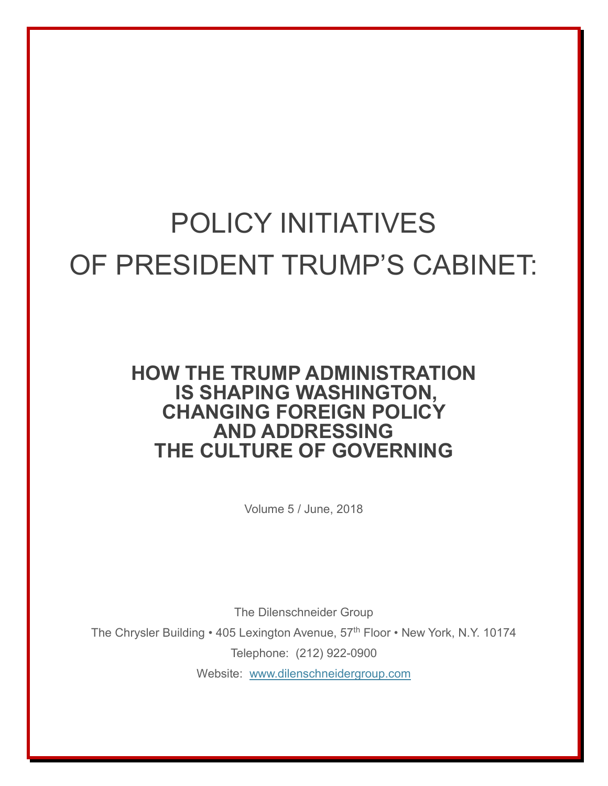# POLICY INITIATIVES OF PRESIDENT TRUMP'S CABINET:

# **HOW THE TRUMP ADMINISTRATION IS SHAPING WASHINGTON, CHANGING FOREIGN POLICY AND ADDRESSING THE CULTURE OF GOVERNING**

Volume 5 / June, 2018

The Dilenschneider Group The Chrysler Building • 405 Lexington Avenue, 57<sup>th</sup> Floor • New York, N.Y. 10174 Telephone: (212) 922-0900 Website: [www.dilenschneidergroup.com](http://www.dilenschneidergroup.com/)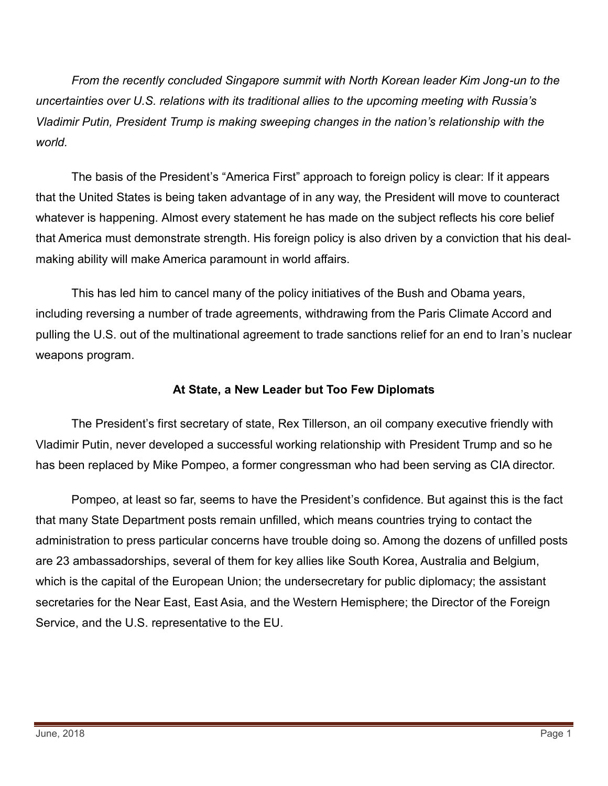*From the recently concluded Singapore summit with North Korean leader Kim Jong-un to the uncertainties over U.S. relations with its traditional allies to the upcoming meeting with Russia's Vladimir Putin, President Trump is making sweeping changes in the nation's relationship with the world.* 

The basis of the President's "America First" approach to foreign policy is clear: If it appears that the United States is being taken advantage of in any way, the President will move to counteract whatever is happening. Almost every statement he has made on the subject reflects his core belief that America must demonstrate strength. His foreign policy is also driven by a conviction that his dealmaking ability will make America paramount in world affairs.

This has led him to cancel many of the policy initiatives of the Bush and Obama years, including reversing a number of trade agreements, withdrawing from the Paris Climate Accord and pulling the U.S. out of the multinational agreement to trade sanctions relief for an end to Iran's nuclear weapons program.

#### **At State, a New Leader but Too Few Diplomats**

The President's first secretary of state, Rex Tillerson, an oil company executive friendly with Vladimir Putin, never developed a successful working relationship with President Trump and so he has been replaced by Mike Pompeo, a former congressman who had been serving as CIA director.

Pompeo, at least so far, seems to have the President's confidence. But against this is the fact that many State Department posts remain unfilled, which means countries trying to contact the administration to press particular concerns have trouble doing so. Among the dozens of unfilled posts are 23 ambassadorships, several of them for key allies like South Korea, Australia and Belgium, which is the capital of the European Union; the undersecretary for public diplomacy; the assistant secretaries for the Near East, East Asia, and the Western Hemisphere; the Director of the Foreign Service, and the U.S. representative to the EU.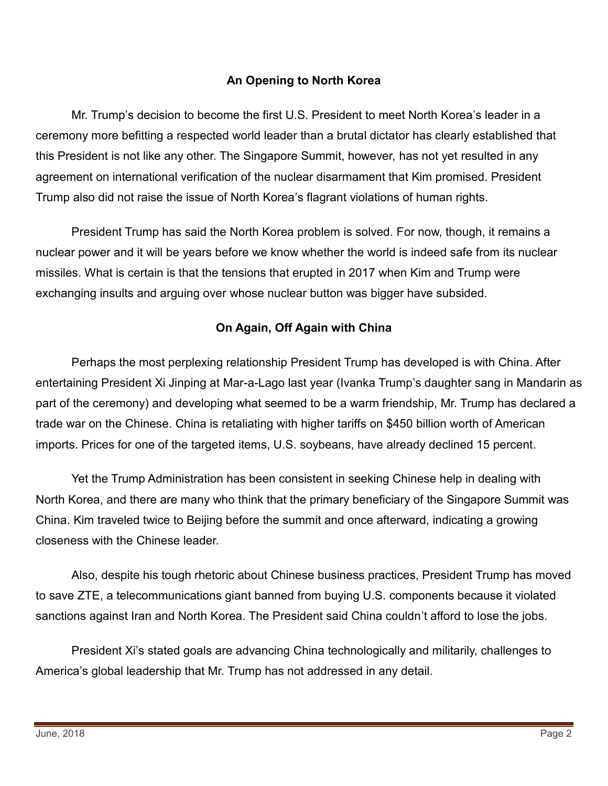# **An Opening to North Korea**

Mr. Trump's decision to become the first U.S. President to meet North Korea's leader in a ceremony more befitting a respected world leader than a brutal dictator has clearly established that this President is not like any other. The Singapore Summit, however, has not yet resulted in any agreement on international verification of the nuclear disarmament that Kim promised. President Trump also did not raise the issue of North Korea's flagrant violations of human rights.

President Trump has said the North Korea problem is solved. For now, though, it remains a nuclear power and it will be years before we know whether the world is indeed safe from its nuclear missiles. What is certain is that the tensions that erupted in 2017 when Kim and Trump were exchanging insults and arguing over whose nuclear button was bigger have subsided.

# **On Again, Off Again with China**

Perhaps the most perplexing relationship President Trump has developed is with China. After entertaining President Xi Jinping at Mar-a-Lago last year (Ivanka Trump's daughter sang in Mandarin as part of the ceremony) and developing what seemed to be a warm friendship, Mr. Trump has declared a trade war on the Chinese. China is retaliating with higher tariffs on \$450 billion worth of American imports. Prices for one of the targeted items, U.S. soybeans, have already declined 15 percent.

Yet the Trump Administration has been consistent in seeking Chinese help in dealing with North Korea, and there are many who think that the primary beneficiary of the Singapore Summit was China. Kim traveled twice to Beijing before the summit and once afterward, indicating a growing closeness with the Chinese leader.

Also, despite his tough rhetoric about Chinese business practices, President Trump has moved to save ZTE, a telecommunications giant banned from buying U.S. components because it violated sanctions against Iran and North Korea. The President said China couldn't afford to lose the jobs.

President Xi's stated goals are advancing China technologically and militarily, challenges to America's global leadership that Mr. Trump has not addressed in any detail.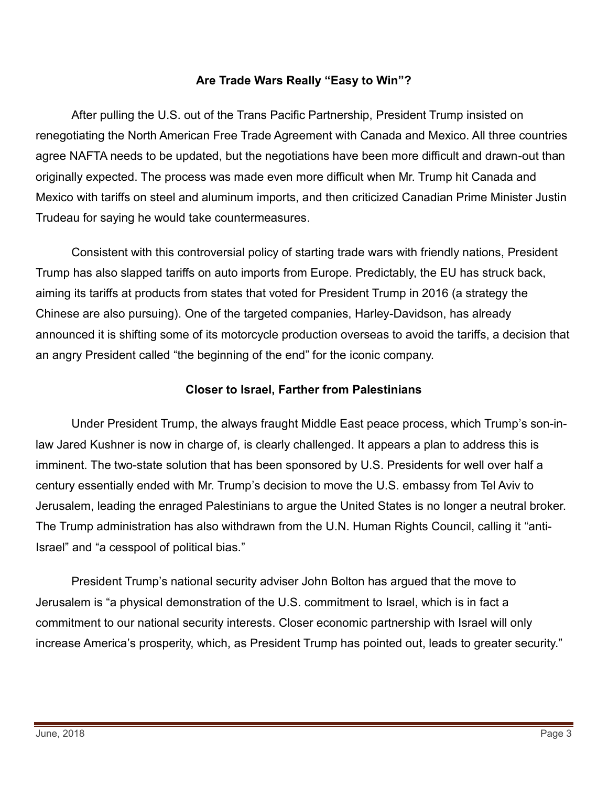#### **Are Trade Wars Really "Easy to Win"?**

After pulling the U.S. out of the Trans Pacific Partnership, President Trump insisted on renegotiating the North American Free Trade Agreement with Canada and Mexico. All three countries agree NAFTA needs to be updated, but the negotiations have been more difficult and drawn-out than originally expected. The process was made even more difficult when Mr. Trump hit Canada and Mexico with tariffs on steel and aluminum imports, and then criticized Canadian Prime Minister Justin Trudeau for saying he would take countermeasures.

Consistent with this controversial policy of starting trade wars with friendly nations, President Trump has also slapped tariffs on auto imports from Europe. Predictably, the EU has struck back, aiming its tariffs at products from states that voted for President Trump in 2016 (a strategy the Chinese are also pursuing). One of the targeted companies, Harley-Davidson, has already announced it is shifting some of its motorcycle production overseas to avoid the tariffs, a decision that an angry President called "the beginning of the end" for the iconic company.

#### **Closer to Israel, Farther from Palestinians**

Under President Trump, the always fraught Middle East peace process, which Trump's son-inlaw Jared Kushner is now in charge of, is clearly challenged. It appears a plan to address this is imminent. The two-state solution that has been sponsored by U.S. Presidents for well over half a century essentially ended with Mr. Trump's decision to move the U.S. embassy from Tel Aviv to Jerusalem, leading the enraged Palestinians to argue the United States is no longer a neutral broker. The Trump administration has also withdrawn from the U.N. Human Rights Council, calling it "anti-Israel" and "a cesspool of political bias."

President Trump's national security adviser John Bolton has argued that the move to Jerusalem is "a physical demonstration of the U.S. commitment to Israel, which is in fact a commitment to our national security interests. Closer economic partnership with Israel will only increase America's prosperity, which, as President Trump has pointed out, leads to greater security."